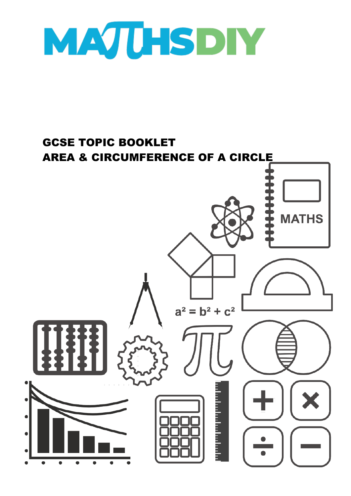

## GCSE TOPIC BOOKLET AREA & CIRCUMFERENCE OF A CIRCLE**MATHS**  $a^2 = b^2 + c^2$ lin in in hi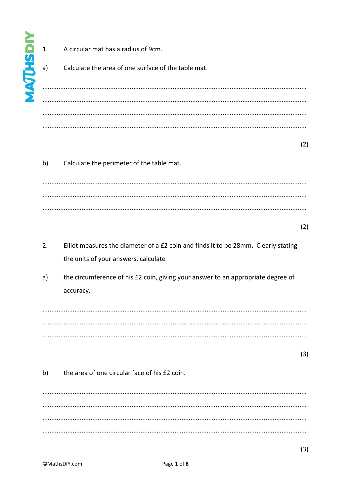|                 | 1. | A circular mat has a radius of 9cm.                                                                                        |     |
|-----------------|----|----------------------------------------------------------------------------------------------------------------------------|-----|
| <b>NAJUHSDI</b> | a) | Calculate the area of one surface of the table mat.                                                                        |     |
|                 |    |                                                                                                                            |     |
|                 |    |                                                                                                                            |     |
|                 |    |                                                                                                                            | (2) |
|                 | b) | Calculate the perimeter of the table mat.                                                                                  |     |
|                 |    |                                                                                                                            |     |
|                 |    |                                                                                                                            |     |
|                 |    |                                                                                                                            | (2) |
|                 | 2. | Elliot measures the diameter of a £2 coin and finds it to be 28mm. Clearly stating<br>the units of your answers, calculate |     |
|                 | a) | the circumference of his £2 coin, giving your answer to an appropriate degree of<br>accuracy.                              |     |
|                 |    |                                                                                                                            |     |
|                 |    |                                                                                                                            |     |
|                 |    |                                                                                                                            | (3) |
|                 | b) | the area of one circular face of his £2 coin.                                                                              |     |
|                 |    |                                                                                                                            |     |
|                 |    |                                                                                                                            |     |
|                 |    |                                                                                                                            |     |

 $(3)$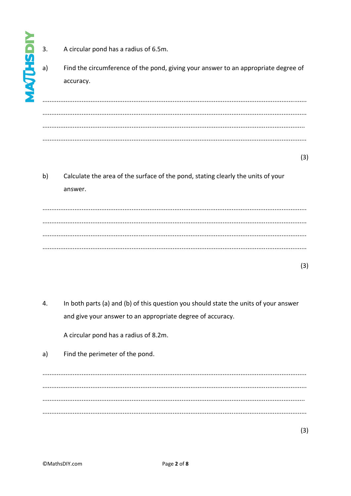- **WURHSDIY** 
	- A circular pond has a radius of 6.5m.  $\overline{3}$ .
	- Find the circumference of the pond, giving your answer to an appropriate degree of  $a)$ accuracv.

 $(3)$ 

 $b)$ Calculate the area of the surface of the pond, stating clearly the units of your answer.

 $(3)$ 

 $\overline{4}$ . In both parts (a) and (b) of this question you should state the units of your answer and give your answer to an appropriate degree of accuracy.

A circular pond has a radius of 8.2m.

Find the perimeter of the pond.  $a)$ 

 $(3)$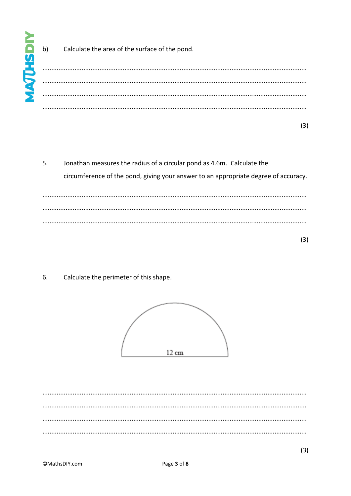$b)$ 

Calculate the area of the surface of the pond.

5. Jonathan measures the radius of a circular pond as 4.6m. Calculate the circumference of the pond, giving your answer to an appropriate degree of accuracy. 

6. Calculate the perimeter of this shape.

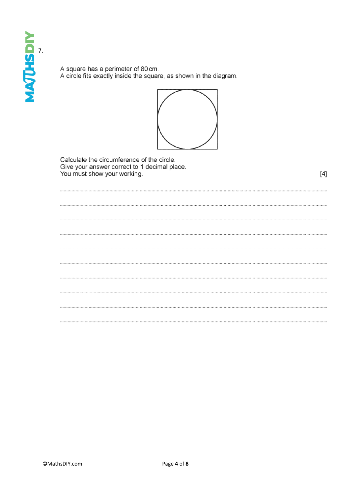A square has a perimeter of 80 cm.<br>A circle fits exactly inside the square, as shown in the diagram.



Calculate the circumference of the circle. Give your answer correct to 1 decimal place. You must show your working.

 $[4]$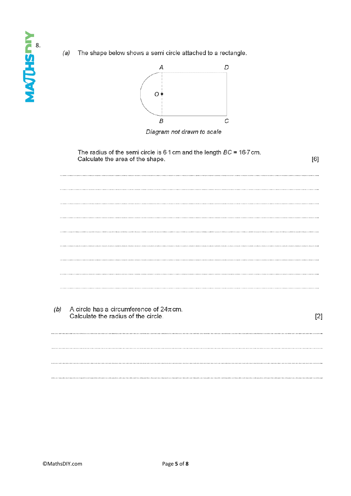The shape below shows a semi circle attached to a rectangle.  $(a)$ 



Diagram not drawn to scale

| [6]   | The radius of the semi circle is 6.1 cm and the length $BC = 16.7$ cm.<br>Calculate the area of the shape. |     |
|-------|------------------------------------------------------------------------------------------------------------|-----|
|       |                                                                                                            |     |
|       |                                                                                                            |     |
|       |                                                                                                            |     |
|       |                                                                                                            |     |
|       |                                                                                                            |     |
|       |                                                                                                            |     |
|       |                                                                                                            |     |
| $[2]$ | A circle has a circumference of $24\pi$ cm.<br>Calculate the radius of the circle.                         | (b) |
|       |                                                                                                            |     |
|       |                                                                                                            |     |
|       |                                                                                                            |     |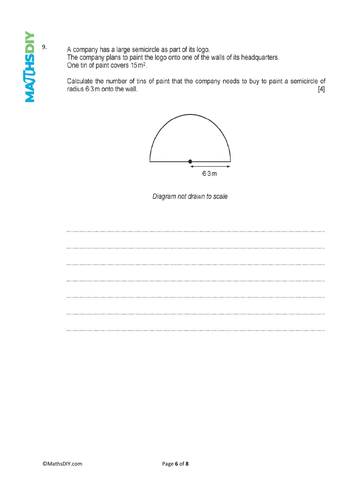A company has a large semicircle as part of its logo. The company plans to paint the logo onto one of the walls of its headquarters. One tin of paint covers 15 m<sup>2</sup>.

Calculate the number of tins of paint that the company needs to buy to paint a semicircle of radius 6.3m onto the wall.  $[4]$ 



Diagram not drawn to scale

tangan na manang kalamang mga na kalamang na mga mga nagang na nagang na mga mga nagang ng mga nagang na magan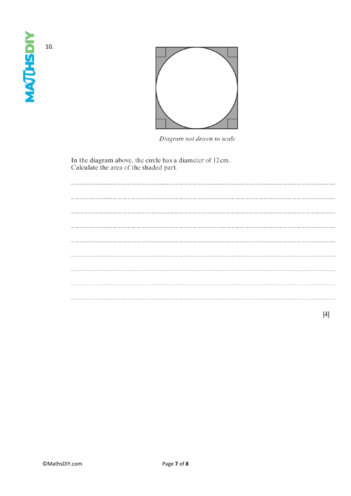10.

**MAQUESDIY** 



Diagram not drawn to scale

In the diagram above, the circle has a diameter of 12 cm.<br>Calculate the area of the shaded part.